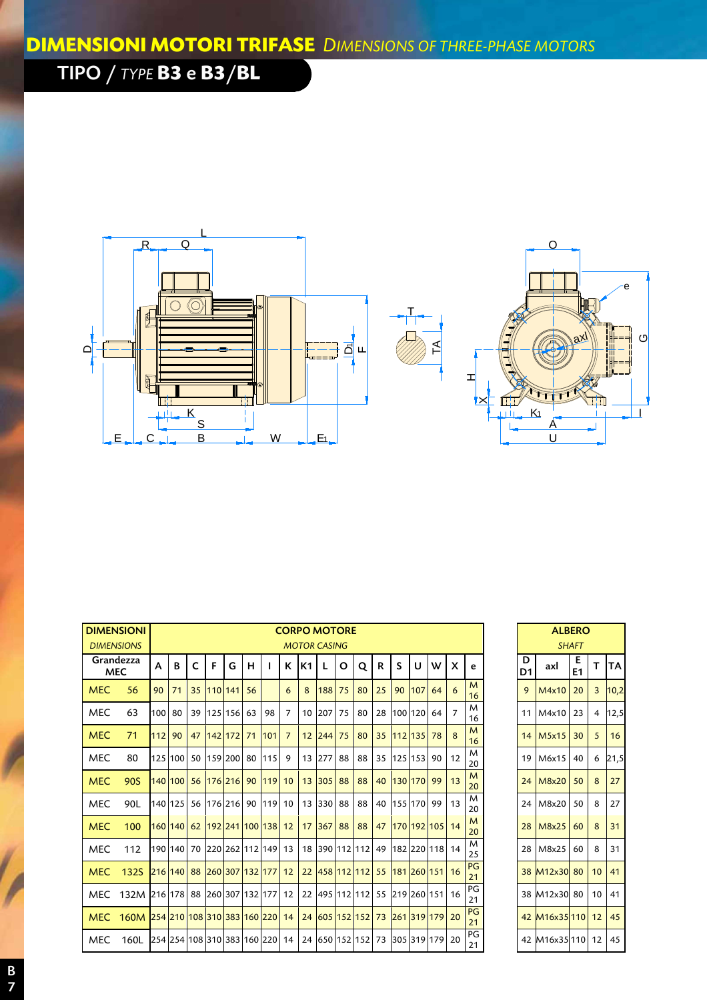## TIPO / *TYPE* **B3** e **B3**/**BL**





|                         | <b>DIMENSIONI</b><br><b>CORPO MOTORE</b>                                     |     |         |              |            |            |    |                                                                 |                |                |                     |                                      |    |    |    | <b>ALBERO</b>     |    |    |          |         |                        |              |  |
|-------------------------|------------------------------------------------------------------------------|-----|---------|--------------|------------|------------|----|-----------------------------------------------------------------|----------------|----------------|---------------------|--------------------------------------|----|----|----|-------------------|----|----|----------|---------|------------------------|--------------|--|
|                         | <b>DIMENSIONS</b>                                                            |     |         |              |            |            |    |                                                                 |                |                | <b>MOTOR CASING</b> |                                      |    |    |    |                   |    |    |          |         |                        | <b>SHAFT</b> |  |
| Grandezza<br><b>MEC</b> |                                                                              | A   | B       | $\mathsf{C}$ | F          | G          | н  |                                                                 | ĸ              | K <sub>1</sub> | L                   | O                                    | Q  | R  | S  | U                 | w  | X  | e        | D<br>D1 | axl                    | E<br>E1      |  |
| <b>MEC</b>              | 56                                                                           | 90  | 71      |              | 35 110 141 |            | 56 |                                                                 | 6              | 8              | 188                 | 75                                   | 80 | 25 | 90 | 107               | 64 | 6  | M<br>16  | 9       | M4x10                  | 20           |  |
| <b>MEC</b>              | 63                                                                           | 100 | 80      |              |            | 39 125 156 | 63 | 98                                                              | $\overline{7}$ | 10             | 207                 | 75                                   | 80 | 28 |    | 100 120           | 64 | 7  | M<br>16  |         | 11 M4x10               | 23           |  |
| <b>MEC</b>              | 71                                                                           | 112 | 90      | 47           |            | $142$ 172  | 71 | 101                                                             | $\overline{7}$ | 12             | 244                 | 75                                   | 80 |    |    | 35 112 135 78     |    | 8  | M<br>16  |         | $14$ M <sub>5x15</sub> | 30           |  |
| <b>MEC</b>              | 80                                                                           |     | 125 100 |              |            |            |    | 50 159 200 80 115                                               | 9              | 13             | 277                 | 88                                   | 88 | 35 |    | 125 153 90        |    | 12 | M<br>20  |         | 19 M6x15               | 40           |  |
| <b>MEC</b>              | 90S                                                                          |     | 140 100 |              |            |            |    | 56 176 216 90 119 10                                            |                | 13             | 305                 | 88                                   | 88 | 40 |    | 130 170 99        |    | 13 | M<br>20  |         | 24 M8x20               | 50           |  |
| <b>MEC</b>              | 90L                                                                          |     | 140 125 |              |            |            |    | 56 176 216 90 119                                               | 10             | 13             | 330                 | 88                                   | 88 | 40 |    | 155 170 99        |    | 13 | M<br>20  |         | 24 M8x20               | 50           |  |
| <b>MEC</b>              | 100                                                                          |     |         |              |            |            |    | 160 140 62 192 241 100 138 12                                   |                | 17             | 367                 | 88                                   | 88 | 47 |    | 170 192 105 14    |    |    | M<br>20  |         | 28 M8x25               | 60           |  |
| <b>MEC</b>              | 112                                                                          |     |         |              |            |            |    | 190 140   70   220   262   112   149   13                       |                | 18             |                     | 390 112 112                          |    |    |    | 49 182 220 118 14 |    |    | M<br>25  |         | 28 M8x25               | 60           |  |
| <b>MEC</b>              | 132S                                                                         |     |         |              |            |            |    | 216 140 88 260 307 132 177 12                                   |                | 22             |                     | 458 112 112                          |    |    |    | 55 181 260 151 16 |    |    | PG<br>21 |         | 38 M12x30 80           |              |  |
| MEC.                    | 132M 216 178 88 260 307 132 177 12                                           |     |         |              |            |            |    |                                                                 |                | 22             |                     | 495 112 112  55  219  260   151   16 |    |    |    |                   |    |    | PG<br>21 |         | 38 M12x30 80           |              |  |
| <b>MEC</b>              | <u>160M 254 210 108 310 383 160 220 14 24 605 152 152 173 261 319 179 20</u> |     |         |              |            |            |    |                                                                 |                |                |                     |                                      |    |    |    |                   |    |    | PG<br>21 |         | 42 M16x35 110          |              |  |
| <b>MEC</b>              | 160L                                                                         |     |         |              |            |            |    | 254 254 108 310 383 160 220 14 24 650 152 152 73 305 319 179 20 |                |                |                     |                                      |    |    |    |                   |    |    | PG<br>21 |         | 42 M16x35 110          |              |  |

|                         |         |               | <b>ALBERO</b><br><b>SHAFT</b> |    |           |
|-------------------------|---------|---------------|-------------------------------|----|-----------|
| e                       | D<br>D1 | axl           | Е<br>E1                       | т  | <b>TA</b> |
| $\overline{M}$<br>16    | 9       | M4x10         | 20                            | 3  | 10,2      |
| M<br>16                 | 11      | M4x10         | 23                            | 4  | 12,5      |
| M<br>$\frac{16}{1}$     | 14      | M5x15         | 30                            | 5  | 16        |
| M<br>20                 | 19      | M6x15         | 40                            | 6  | 21,5      |
| M<br>20                 | 24      | M8x20         | 50                            | 8  | 27        |
| M<br><u>20</u>          | 24      | M8x20         | 50                            | 8  | 27        |
| M<br>$\overline{20}$    | 28      | M8x25         | 60                            | 8  | 31        |
| $\overline{\mathsf{M}}$ | 28      | M8x25         | 60                            | 8  | 31        |
| 25<br>PG                | 38      | M12x30        | 80                            | 10 | 41        |
| $\frac{21}{PG}$<br>21   | 38      | M12x30        | 80                            | 10 | 41        |
| PG<br><u>21</u>         | 42      | M16x35110     |                               | 12 | 45        |
| PG<br>21                |         | 42 M16x35 110 |                               | 12 | 45        |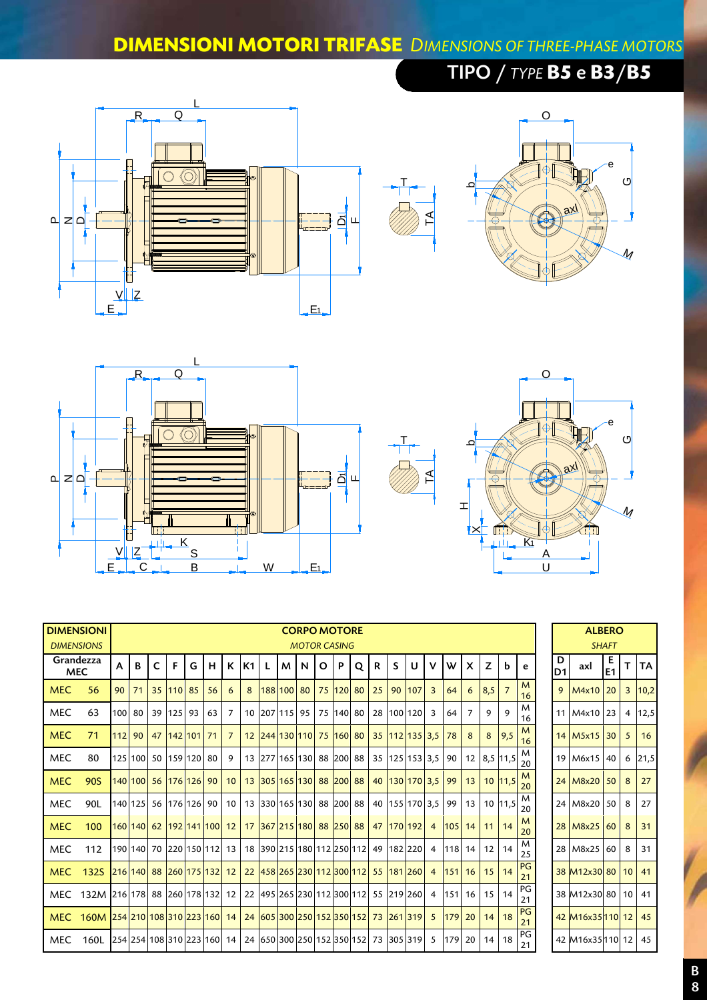## **DIMENSIONI MOTORI TRIFASE** *DIMENSIONS OF THREE-PHASE MOTORS*

## L<sub>and</sub>  $R_{\text{max}}$  Q  $\boxed{\circ \oslash}$ PNTA  $\mathsf{a}$   $\mathsf{z}$   $\mathsf{a}$ ስ∟| h٦  $V \parallel Z$ E <u>L</u>e et al. 2001 and 2001 and 2001 and 2001 and 2001 and 2001 and 2001 and 2001 and 2001 and 2001 and 2001 and 2001 and 2001 and 2001 and 2001 and 2001 and 2001 and 2001 and 2001 and 2001 and 2001 and 2001 and 2001 and 2



TIPO / *TYPE* **B5** e **B3**/**B5**





| <b>DIMENSIONI</b>       | <b>DIMENSIONS</b>                  |        |    |    |           |                                     |    |                 |                |   |                          | <b>CORPO MOTORE</b><br><b>MOTOR CASING</b> |         |           |   |    |    |                                            |                |            |                           |                 |                   |          | <b>ALBERO</b><br><b>SHAFT</b> |                           |         |                |           |
|-------------------------|------------------------------------|--------|----|----|-----------|-------------------------------------|----|-----------------|----------------|---|--------------------------|--------------------------------------------|---------|-----------|---|----|----|--------------------------------------------|----------------|------------|---------------------------|-----------------|-------------------|----------|-------------------------------|---------------------------|---------|----------------|-----------|
| Grandezza<br><b>MEC</b> |                                    | A      | B  | C. | F.        | G                                   | H  | K I             | K <sub>1</sub> | L | M <sub>1</sub>           | N                                          | $\circ$ | <b>P</b>  | Q | R  | S. | U                                          | v              | W          | $\boldsymbol{\mathsf{x}}$ | Z               | b                 | e        | D<br>D <sub>1</sub>           | axl                       | Е<br>E1 |                | <b>TA</b> |
| <b>MEC</b>              | 56                                 | 90     | 71 |    | 35 110 85 |                                     | 56 | 6               | 8              |   | 188 100 80               |                                            |         | 75 120 80 |   | 25 | 90 | 107                                        | $\overline{3}$ | 64         | 6                         | 8,5             |                   | M<br>16  | 9                             | M4x10 20                  |         | $\overline{3}$ | 10,2      |
| <b>MEC</b>              | 63                                 | 100    | 80 |    | 39 125    | 93                                  | 63 | $\overline{7}$  |                |   | 10 207 115 95            |                                            |         | 75 140 80 |   |    |    | 28   100   120                             | 3              | 64         | $\overline{7}$            | 9               | $\mathsf{o}$      | M<br>16  |                               | 11 M4x10 23               |         | $\overline{4}$ | 12,5      |
| <b>MEC</b>              | 71                                 | 112 90 |    |    |           | 47 142 101 71                       |    | $\overline{7}$  |                |   |                          |                                            |         |           |   |    |    | 12 244 130 110 75 160 80 35 112 135 3.5 78 |                |            | 8                         | 8               | $\vert 9.5 \vert$ | M<br>16  |                               | $14$ M <sub>5x15</sub> 30 |         | 5              | 16        |
| <b>MEC</b>              | 80                                 |        |    |    |           | 125 100 50 159 120 80               |    | 9               |                |   | 13 277 165 130 88 200 88 |                                            |         |           |   |    |    | 35 125 153 3.5 90                          |                |            | 12 <sub>1</sub>           |                 | 8,5 11,5          | M<br>20  |                               | 19 M6x15 40               |         | 6              | 21,5      |
| <b>MEC</b>              | 90S                                |        |    |    |           | 140 100 56 176 126 90               |    | 10 <sup>°</sup> |                |   | 13 305 165 130 88 200 88 |                                            |         |           |   |    |    | 40 130 170 3.5 99                          |                |            | 13                        |                 | 10 11,5           | M<br>20  |                               | 24 M8x20 50               |         | 8              | 27        |
| <b>MEC</b>              | 90L                                |        |    |    |           | 140   125   56   176   126   90     |    | 10 <sup>1</sup> |                |   | 13 330 165 130 88 200 88 |                                            |         |           |   |    |    | 40   155   170   3,5                       |                | 99         | 13                        |                 | 10 11,5           | M<br>20  |                               | 24 M8x20                  | 50      | 8              | 27        |
| <b>MEC</b>              | 100                                |        |    |    |           | 160 140 62 192 141 100 12           |    |                 |                |   | 17 367 215 180 88 250 88 |                                            |         |           |   |    |    | 47 170 192                                 | $\overline{4}$ | $ 105 $ 14 |                           | 11              | 14                | M<br>20  |                               | 28 M8x25 60               |         | 8              | 31        |
| <b>MEC</b>              | 112                                |        |    |    |           | 190 140   70   220   150   112   13 |    |                 |                |   |                          |                                            |         |           |   |    |    | 18 390 215 180 112 250 112 49 182 220      | 4              | $118$ 14   |                           | 12              | 14                | M<br>25  |                               | 28 M8x25                  | 60      | 8              | 31        |
| <b>MEC</b>              | 132S                               |        |    |    |           | 216 140 88 260 175 132 12           |    |                 |                |   |                          |                                            |         |           |   |    |    | 22 458 265 230 112 300 112 55 181 260      |                |            | 4 151 16                  | 15 <sup>1</sup> | 14                | PG<br>21 |                               | 38 M12x30 80 10 41        |         |                |           |
|                         | MEC 132M 216 178 88 260 178 132 12 |        |    |    |           |                                     |    |                 |                |   |                          |                                            |         |           |   |    |    | 22 495 265 230 112 300 112 55 219 260      | $\overline{4}$ |            | 151 16                    | 15              | 14                | PG<br>21 |                               | 38 M12x30 80 10   41      |         |                |           |
| <b>MEC</b>              | 160M 254 210 108 310 223 160 14    |        |    |    |           |                                     |    |                 |                |   |                          |                                            |         |           |   |    |    | 24 605 300 250 152 350 152 73 261 319 5    |                | $179$ 20   |                           | 14              | 18                | PG<br>21 |                               | 42 M16x35 110 12          |         |                | 45        |
| <b>MEC</b>              | 160L                               |        |    |    |           | 254 254 108 310 223 160 14          |    |                 |                |   |                          |                                            |         |           |   |    |    | 24 650 300 250 152 350 152 73 305 319      | -5             | 179 20     |                           | 14              | 18                | PG<br>21 |                               | 42 M16x35110 12           |         |                | 45        |